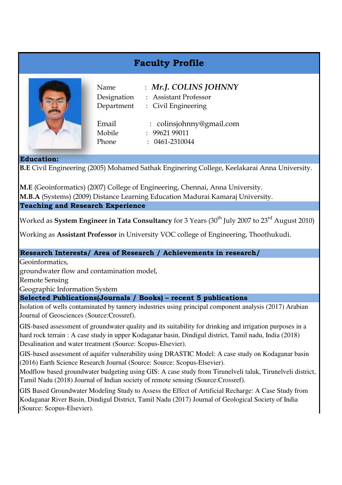## **Faculty Profile**



Name : *Mr.J. COLINS JOHNNY*

Designation : Assistant Professor

Department : Civil Engineering

[Email : colinsjohnny@gmail.com](mailto:colinsjohnny@gmail.com) Mobile : 99621 99011 Phone : 0461-2310044

## **Education:**

**B.E** Civil Engineering (2005) Mohamed Sathak Enginering College, Keelakarai Anna University.

**M.E** (Geoinformatics) (2007) College of Engineering, Chennai, Anna University. **M.B.A** (Systems) (2009) Distance Learning Education Madurai Kamaraj University. **Teaching and Research Experience**

Worked as **System Engineer in Tata Consultancy** for 3 Years (30<sup>th</sup> July 2007 to 23<sup>rd</sup> August 2010)

Working as **Assistant Professor** in University VOC college of Engineering, Thoothukudi.

## **Research Interests/ Area of Research / Achievements in research/**

Geoinformatics,

groundwater flow and contamination model,

Remote Sensing

Geographic Information System

## **Selected Publications(Journals / Books) – recent 5 publications**

Isolation of wells contaminated by tannery industries using principal component analysis (2017) Arabian Journal of Geosciences (Source:Crossref).

GIS-based assessment of groundwater quality and its suitability for drinking and irrigation purposes in a hard rock terrain : A case study in upper Kodaganar basin, Dindigul district, Tamil nadu, India (2018) Desalination and water treatment (Source: Scopus-Elsevier).

GIS-based assessment of aquifer vulnerability using DRASTIC Model: A case study on Kodaganar basin (2016) Earth Science Research Journal (Source: Source: Scopus-Elsevier).

Modflow based groundwater budgeting using GIS: A case study from Tirunelveli taluk, Tirunelveli district, Tamil Nadu (2018) Journal of Indian society of remote sensing (Source:Crossref).

GIS Based Groundwater Modeling Study to Assess the Effect of Artificial Recharge: A Case Study from Kodaganar River Basin, Dindigul District, Tamil Nadu (2017) Journal of Geological Society of India (Source: Scopus-Elsevier).